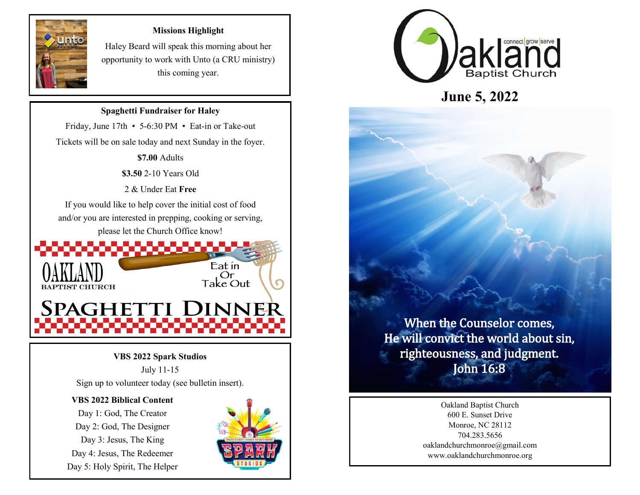

### **Missions Highlight**

Haley Beard will speak this morning about her opportunity to work with Unto (a CRU ministry) this coming year.

# **Spaghetti Fundraiser for Haley**

Friday, June 17th • 5-6:30 PM • Eat-in or Take-out Tickets will be on sale today and next Sunday in the foyer.

**\$7.00** Adults

**\$3.50** 2-10 Years Old

2 & Under Eat **Free**

If you would like to help cover the initial cost of food and/or you are interested in prepping, cooking or serving, please let the Church Office know!



## **VBS 2022 Spark Studios**

July 11-15 Sign up to volunteer today (see bulletin insert).

#### **VBS 2022 Biblical Content**

Day 1: God, The Creator Day 2: God, The Designer Day 3: Jesus, The King Day 4: Jesus, The Redeemer Day 5: Holy Spirit, The Helper





**June 5, 2022**

When the Counselor comes, He will convict the world about sin, righteousness, and judgment. John 16:8

> Oakland Baptist Church 600 E. Sunset Drive Monroe, NC 28112 704.283.5656 oaklandchurchmonroe@gmail.com www.oaklandchurchmonroe.org